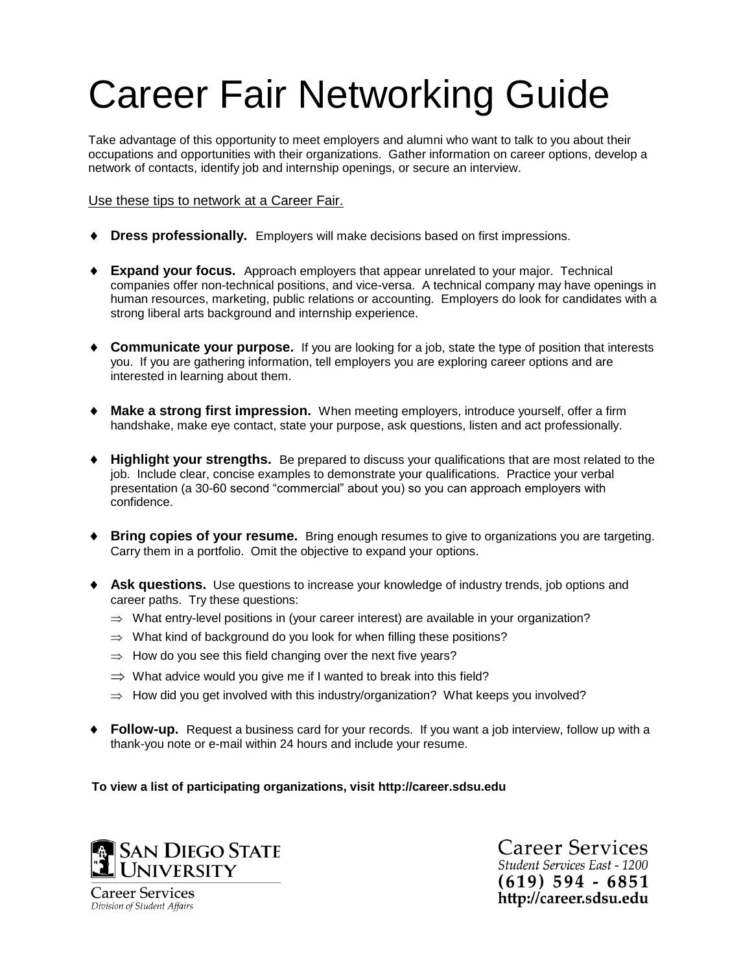# Career Fair Networking Guide

Take advantage of this opportunity to meet employers and alumni who want to talk to you about their occupations and opportunities with their organizations. Gather information on career options, develop a network of contacts, identify job and internship openings, or secure an interview.

### Use these tips to network at a Career Fair.

- **Dress professionally.** Employers will make decisions based on first impressions.
- **Expand your focus.** Approach employers that appear unrelated to your major. Technical companies offer non-technical positions, and vice-versa. A technical company may have openings in human resources, marketing, public relations or accounting. Employers do look for candidates with a strong liberal arts background and internship experience.
- **Communicate your purpose.** If you are looking for a job, state the type of position that interests you. If you are gathering information, tell employers you are exploring career options and are interested in learning about them.
- **Make a strong first impression.** When meeting employers, introduce yourself, offer a firm handshake, make eye contact, state your purpose, ask questions, listen and act professionally.
- **Highlight your strengths.** Be prepared to discuss your qualifications that are most related to the job. Include clear, concise examples to demonstrate your qualifications. Practice your verbal presentation (a 30-60 second "commercial" about you) so you can approach employers with confidence.
- ◆ **Bring copies of your resume.** Bring enough resumes to give to organizations you are targeting. Carry them in a portfolio. Omit the objective to expand your options.
- **Ask questions.** Use questions to increase your knowledge of industry trends, job options and career paths. Try these questions:
	- $\Rightarrow$  What entry-level positions in (your career interest) are available in your organization?
	- $\Rightarrow$  What kind of background do you look for when filling these positions?
	- $\Rightarrow$  How do you see this field changing over the next five years?
	- $\Rightarrow$  What advice would you give me if I wanted to break into this field?
	- $\Rightarrow$  How did you get involved with this industry/organization? What keeps you involved?
- **Follow-up.** Request a business card for your records. If you want a job interview, follow up with a thank-you note or e-mail within 24 hours and include your resume.

**To view a list of participating organizations, visit http://career.sdsu.edu**



**Career Services** Student Services East - 1200  $(619)$  594 - 6851 http://career.sdsu.edu

**Career Services** Division of Student Affairs